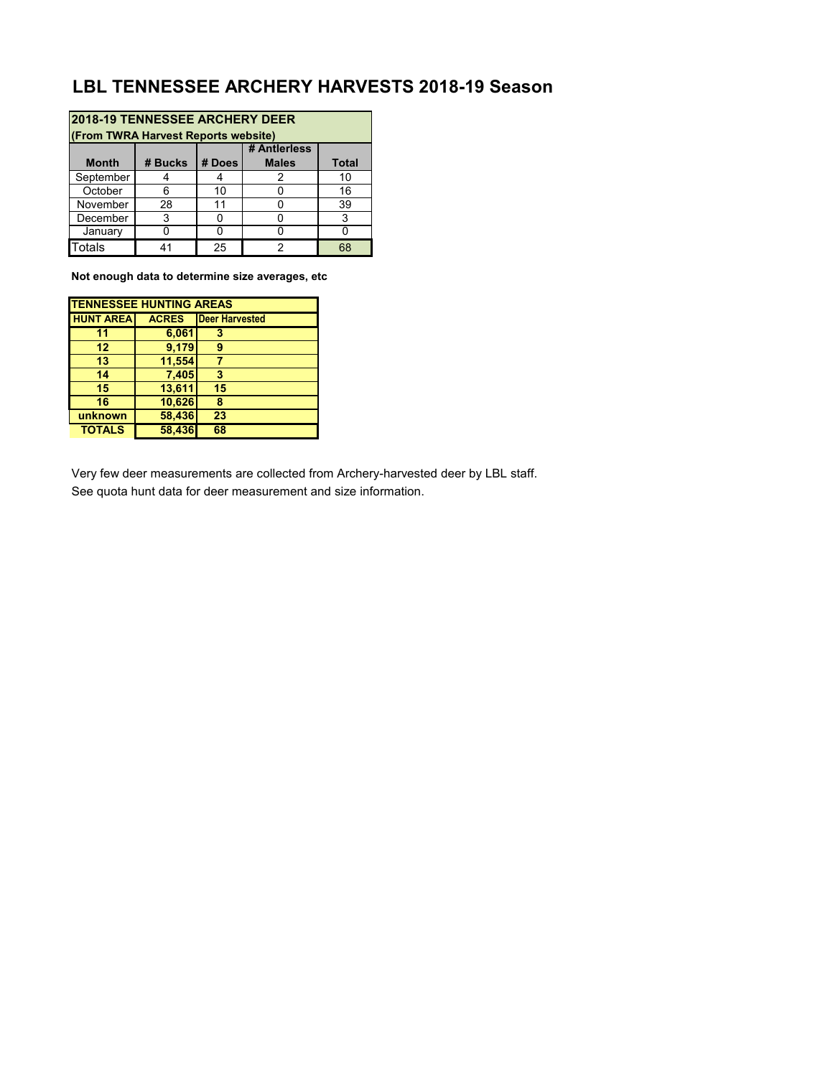## **LBL TENNESSEE ARCHERY HARVESTS 2018-19 Season**

| <b>2018-19 TENNESSEE ARCHERY DEER</b><br>(From TWRA Harvest Reports website) |         |        |                              |              |  |  |  |
|------------------------------------------------------------------------------|---------|--------|------------------------------|--------------|--|--|--|
| <b>Month</b>                                                                 | # Bucks | # Does | # Antierless<br><b>Males</b> | <b>Total</b> |  |  |  |
| September                                                                    |         |        | 2                            | 10           |  |  |  |
| October                                                                      | հ       | 10     |                              | 16           |  |  |  |
| November                                                                     | 28      | 11     |                              | 39           |  |  |  |
| December                                                                     | 3       |        |                              | 3            |  |  |  |
| January                                                                      |         |        |                              |              |  |  |  |
| Totals                                                                       | 41      | 25     | 2                            | 68           |  |  |  |

**Not enough data to determine size averages, etc**

| <b>TENNESSEE HUNTING AREAS</b> |              |                       |  |  |  |  |
|--------------------------------|--------------|-----------------------|--|--|--|--|
| <b>HUNT AREA</b>               | <b>ACRES</b> | <b>Deer Harvested</b> |  |  |  |  |
| 11                             | 6,061        | 3                     |  |  |  |  |
| 12                             | 9,179        | g                     |  |  |  |  |
| 13                             | 11,554       |                       |  |  |  |  |
| 14                             | 7,405        | 3                     |  |  |  |  |
| 15                             | 13,611       | 15                    |  |  |  |  |
| 16                             | 10,626       | 8                     |  |  |  |  |
| unknown                        | 58,436       | 23                    |  |  |  |  |
| <b>TOTALS</b>                  | 58,436       | 68                    |  |  |  |  |

Very few deer measurements are collected from Archery-harvested deer by LBL staff. See quota hunt data for deer measurement and size information.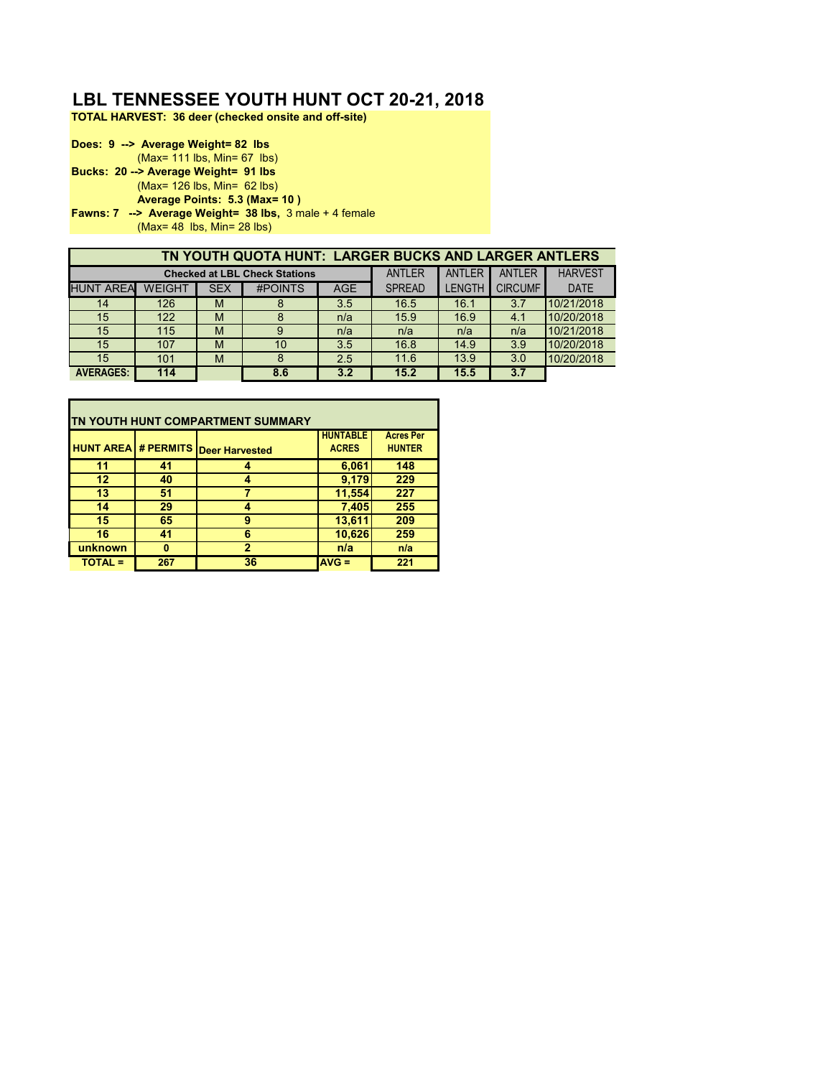## **LBL TENNESSEE YOUTH HUNT OCT 20-21, 2018**

**TOTAL HARVEST: 36 deer (checked onsite and off-site)**

**Does: 9 --> Average Weight= 82 lbs** (Max= 111 lbs, Min= 67 lbs) **Bucks: 20 --> Average Weight= 91 lbs** (Max= 126 lbs, Min= 62 lbs) **Average Points: 5.3 (Max= 10 ) Fawns: 7 --> Average Weight= 38 lbs,** 3 male + 4 female (Max= 48 lbs, Min= 28 lbs)

|                  | TN YOUTH QUOTA HUNT: LARGER BUCKS AND LARGER ANTLERS |            |                                      |            |               |               |                |                |
|------------------|------------------------------------------------------|------------|--------------------------------------|------------|---------------|---------------|----------------|----------------|
|                  |                                                      |            | <b>Checked at LBL Check Stations</b> |            | <b>ANTLER</b> | <b>ANTLER</b> | <b>ANTLER</b>  | <b>HARVEST</b> |
| <b>HUNT AREA</b> | <b>WEIGHT</b>                                        | <b>SEX</b> | <b>#POINTS</b>                       | <b>AGE</b> | <b>SPREAD</b> | <b>LENGTH</b> | <b>CIRCUMF</b> | <b>DATE</b>    |
| 14               | 126                                                  | M          | 8                                    | 3.5        | 16.5          | 16.1          | 3.7            | 10/21/2018     |
| 15               | 122                                                  | M          |                                      | n/a        | 15.9          | 16.9          | 4.1            | 10/20/2018     |
| 15               | 115                                                  | M          | 9                                    | n/a        | n/a           | n/a           | n/a            | 10/21/2018     |
| 15               | 107                                                  | M          | 10                                   | 3.5        | 16.8          | 14.9          | 3.9            | 10/20/2018     |
| 15               | 101                                                  | M          | 8                                    | 2.5        | 11.6          | 13.9          | 3.0            | 10/20/2018     |
| <b>AVERAGES:</b> | 114                                                  |            | 8.6                                  | 3.2        | 15.2          | 15.5          | 3.7            |                |

| ITN YOUTH HUNT COMPARTMENT SUMMARY |     |                                           |                                 |                                   |  |  |  |
|------------------------------------|-----|-------------------------------------------|---------------------------------|-----------------------------------|--|--|--|
|                                    |     | <b>HUNT AREA # PERMITS Deer Harvested</b> | <b>HUNTABLE</b><br><b>ACRES</b> | <b>Acres Per</b><br><b>HUNTER</b> |  |  |  |
|                                    |     |                                           |                                 |                                   |  |  |  |
| 11                                 | 41  |                                           | 6,061                           | 148                               |  |  |  |
| 12                                 | 40  |                                           | 9,179                           | 229                               |  |  |  |
| 13                                 | 51  |                                           | 11,554                          | 227                               |  |  |  |
| 14                                 | 29  |                                           | 7,405                           | 255                               |  |  |  |
| 15                                 | 65  | 9                                         | 13,611                          | 209                               |  |  |  |
| 16                                 | 41  | 6                                         | 10,626                          | 259                               |  |  |  |
| unknown                            | n   | $\overline{2}$                            | n/a                             | n/a                               |  |  |  |
| <b>TOTAL =</b>                     | 267 | 36                                        | $AVG =$                         | 221                               |  |  |  |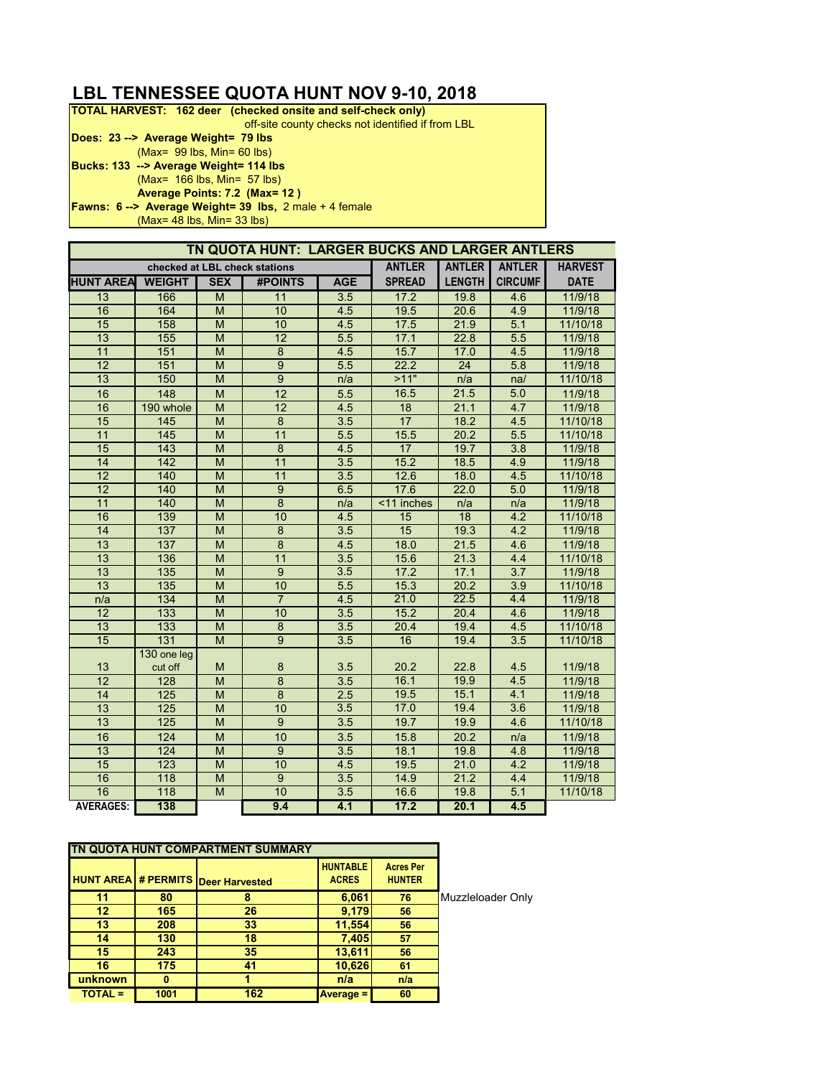## **LBL TENNESSEE QUOTA HUNT NOV 9-10, 2018**

| <b>TOTAL HARVEST: 162 deer (checked onsite and self-check only)</b> |
|---------------------------------------------------------------------|
| off-site county checks not identified if from LBL                   |
| Does: 23 --> Average Weight= 79 lbs                                 |
| $(Max = 99$ lbs, Min= 60 lbs)                                       |
| Bucks: 133 --> Average Weight= 114 lbs                              |
| $(Max = 166$ lbs, Min= 57 lbs)                                      |
| Average Points: 7.2 (Max= 12)                                       |
| <b>Fawns: 6 --&gt; Average Weight= 39 lbs, 2 male + 4 female</b>    |
|                                                                     |

(Max= 48 lbs, Min= 33 lbs)

|                               |                  |                                                                                                            | TN QUOTA HUNT: LARGER BUCKS AND LARGER ANTLERS |                  |               |               |                  |             |
|-------------------------------|------------------|------------------------------------------------------------------------------------------------------------|------------------------------------------------|------------------|---------------|---------------|------------------|-------------|
| checked at LBL check stations |                  |                                                                                                            |                                                | <b>ANTLER</b>    | <b>ANTLER</b> | <b>ANTLER</b> | <b>HARVEST</b>   |             |
| <b>HUNT AREA</b>              | <b>WEIGHT</b>    | <b>SEX</b>                                                                                                 | <b>#POINTS</b>                                 | <b>AGE</b>       | <b>SPREAD</b> | <b>LENGTH</b> | <b>CIRCUMF</b>   | <b>DATE</b> |
| 13                            | 166              | M                                                                                                          | 11                                             | 3.5              | 17.2          | 19.8          | 4.6              | 11/9/18     |
| 16                            | 164              | M                                                                                                          | 10                                             | 4.5              | 19.5          | 20.6          | 4.9              | 11/9/18     |
| 15                            | 158              | $\overline{M}$                                                                                             | 10                                             | 4.5              | 17.5          | 21.9          | 5.1              | 11/10/18    |
| 13                            | 155              | $\overline{M}$                                                                                             | 12                                             | 5.5              | 17.1          | 22.8          | 5.5              | 11/9/18     |
| 11                            | 151              | M                                                                                                          | 8                                              | 4.5              | 15.7          | 17.0          | 4.5              | 11/9/18     |
| 12                            | 151              | M                                                                                                          | $\overline{9}$                                 | 5.5              | 22.2          | 24            | 5.8              | 11/9/18     |
| 13                            | 150              | M                                                                                                          | $\overline{9}$                                 | n/a              | >11"          | n/a           | na/              | 11/10/18    |
| 16                            | 148              | M                                                                                                          | 12                                             | 5.5              | 16.5          | 21.5          | 5.0              | 11/9/18     |
| 16                            | 190 whole        | $\overline{M}$                                                                                             | 12                                             | 4.5              | 18            | 21.1          | 4.7              | 11/9/18     |
| 15                            | 145              | M                                                                                                          | $\bf 8$                                        | $\overline{3.5}$ | 17            | 18.2          | 4.5              | 11/10/18    |
| 11                            | $\overline{145}$ | M                                                                                                          | 11                                             | 5.5              | 15.5          | 20.2          | 5.5              | 11/10/18    |
| 15                            | 143              | M                                                                                                          | $\bf 8$                                        | 4.5              | 17            | 19.7          | 3.8              | 11/9/18     |
| 14                            | $\overline{142}$ | M                                                                                                          | 11                                             | 3.5              | 15.2          | 18.5          | 4.9              | 11/9/18     |
| 12                            | 140              | $\overline{M}$                                                                                             | 11                                             | 3.5              | 12.6          | 18.0          | 4.5              | 11/10/18    |
| 12                            | 140              | M                                                                                                          | $\overline{9}$                                 | 6.5              | 17.6          | 22.0          | 5.0              | 11/9/18     |
| 11                            | 140              | M                                                                                                          | $\bf 8$                                        | n/a              | <11 inches    | n/a           | n/a              | 11/9/18     |
| 16                            | 139              | M                                                                                                          | 10                                             | 4.5              | 15            | 18            | 4.2              | 11/10/18    |
| 14                            | 137              | M                                                                                                          | $\overline{8}$                                 | $\overline{3.5}$ | 15            | 19.3          | 4.2              | 11/9/18     |
| 13                            | $\overline{137}$ | $\overline{M}$                                                                                             | $\overline{8}$                                 | 4.5              | 18.0          | 21.5          | 4.6              | 11/9/18     |
| 13                            | 136              | M                                                                                                          | 11                                             | 3.5              | 15.6          | 21.3          | 4.4              | 11/10/18    |
| 13                            | $\overline{135}$ | $\overline{M}$                                                                                             | $\overline{9}$                                 | 3.5              | 17.2          | 17.1          | 3.7              | 11/9/18     |
| 13                            | $\overline{135}$ | M                                                                                                          | 10                                             | 5.5              | 15.3          | 20.2          | 3.9              | 11/10/18    |
| n/a                           | 134              | $\overline{M}$                                                                                             | $\overline{7}$                                 | 4.5              | 21.0          | 22.5          | 4.4              | 11/9/18     |
| 12                            | 133              | $\overline{M}$                                                                                             | 10                                             | 3.5              | 15.2          | 20.4          | 46               | 11/9/18     |
| 13                            | 133              | M                                                                                                          | $\bf 8$                                        | 3.5              | 20.4          | 19.4          | 4.5              | 11/10/18    |
| 15                            | 131              | $\mathsf{M}% _{T}=\mathsf{M}_{T}\!\left( a,b\right) ,\ \mathsf{M}_{T}=\mathsf{M}_{T}\!\left( a,b\right) ,$ | $\overline{9}$                                 | 3.5              | 16            | 19.4          | $3.\overline{5}$ | 11/10/18    |
|                               | 130 one leg      |                                                                                                            |                                                |                  |               |               |                  |             |
| 13                            | cut off          | M                                                                                                          | 8                                              | 3.5              | 20.2          | 22.8          | 4.5              | 11/9/18     |
| 12                            | 128              | M                                                                                                          | $\overline{8}$                                 | 3.5              | 16.1          | 19.9          | 4.5              | 11/9/18     |
| 14                            | 125              | M                                                                                                          | $\overline{8}$                                 | 2.5              | 19.5          | 15.1          | 4.1              | 11/9/18     |
| 13                            | 125              | M                                                                                                          | 10                                             | 3.5              | 17.0          | 19.4          | 3.6              | 11/9/18     |
| 13                            | 125              | $\overline{M}$                                                                                             | $\overline{9}$                                 | 3.5              | 19.7          | 19.9          | 4.6              | 11/10/18    |
| 16                            | 124              | M                                                                                                          | 10                                             | 3.5              | 15.8          | 20.2          | n/a              | 11/9/18     |
| 13                            | 124              | $\mathsf{M}% _{T}=\mathsf{M}_{T}\!\left( a,b\right) ,\ \mathsf{M}_{T}=\mathsf{M}_{T}$                      | $\overline{9}$                                 | 3.5              | 18.1          | 19.8          | 4.8              | 11/9/18     |
| 15                            | 123              | M                                                                                                          | 10                                             | 4.5              | 19.5          | 21.0          | 4.2              | 11/9/18     |
| 16                            | 118              | M                                                                                                          | $\boldsymbol{9}$                               | 3.5              | 14.9          | 21.2          | 4.4              | 11/9/18     |
| 16                            | 118              | M                                                                                                          | 10                                             | 3.5              | 16.6          | 19.8          | 5.1              | 11/10/18    |
| <b>AVERAGES:</b>              | 138              |                                                                                                            | 9.4                                            | 4.1              | 17.2          | 20.1          | 4.5              |             |

|                 |      | TN QUOTA HUNT COMPARTMENT SUMMARY         |                                 |                                   |                   |
|-----------------|------|-------------------------------------------|---------------------------------|-----------------------------------|-------------------|
|                 |      | <b>HUNT AREA # PERMITS Deer Harvested</b> | <b>HUNTABLE</b><br><b>ACRES</b> | <b>Acres Per</b><br><b>HUNTER</b> |                   |
| 11              | 80   |                                           | 6,061                           | 76                                | Muzzleloader Only |
| 12 <sup>2</sup> | 165  | 26                                        | 9,179                           | 56                                |                   |
| 13              | 208  | 33                                        | 11,554                          | 56                                |                   |
| 14              | 130  | 18                                        | 7,405                           | 57                                |                   |
| 15              | 243  | 35                                        | 13,611                          | 56                                |                   |
| 16              | 175  | 41                                        | 10,626                          | 61                                |                   |
| unknown         |      |                                           | n/a                             | n/a                               |                   |
| <b>TOTAL =</b>  | 1001 | 162                                       | <b>Average =</b>                | 60                                |                   |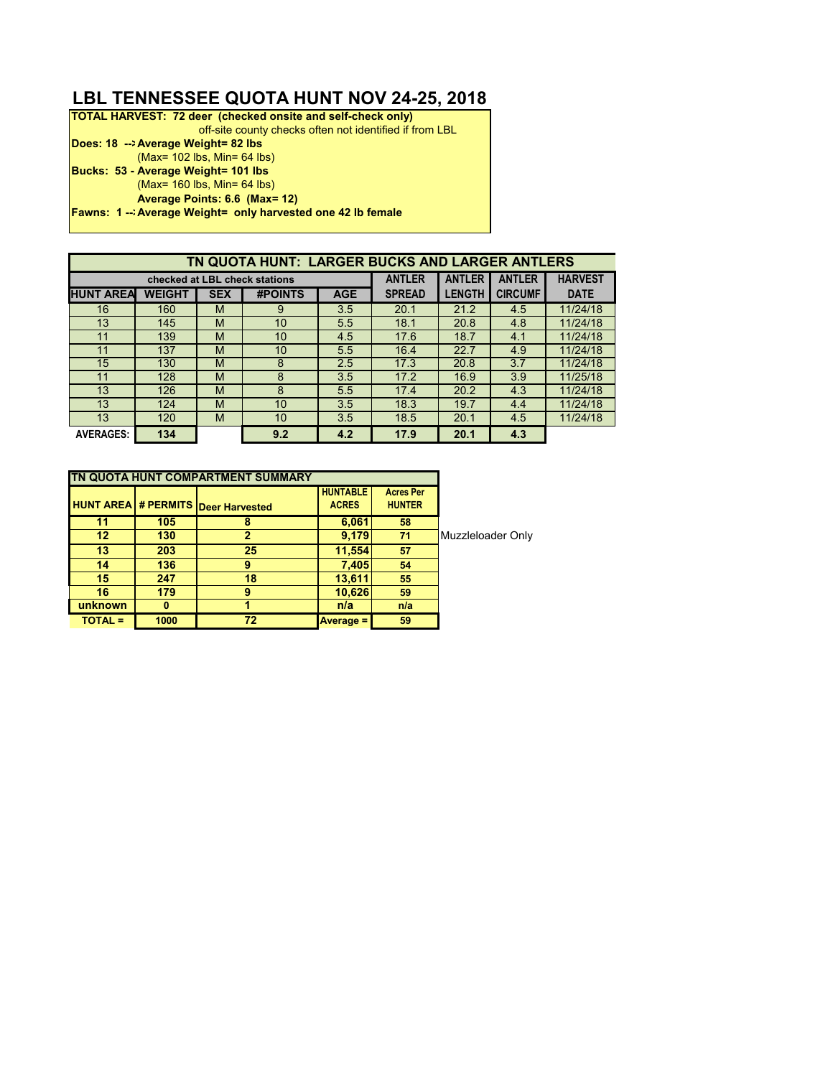## **LBL TENNESSEE QUOTA HUNT NOV 24-25, 2018**

| <b>TOTAL HARVEST: 72 deer (checked onsite and self-check only)</b> |
|--------------------------------------------------------------------|
| off-site county checks often not identified if from LBL            |
| Does: 18 --> Average Weight= 82 lbs                                |
| $(Max = 102$ lbs, $Min = 64$ lbs)                                  |
| Bucks: 53 - Average Weight= 101 lbs                                |
| $(Max = 160$ lbs, Min= 64 lbs)                                     |
| Average Points: 6.6 (Max= 12)                                      |
| <b>Fawns: 1 - Average Weight = only harvested one 42 lb female</b> |
|                                                                    |

| TN QUOTA HUNT: LARGER BUCKS AND LARGER ANTLERS |               |            |                               |            |               |               |                |                |
|------------------------------------------------|---------------|------------|-------------------------------|------------|---------------|---------------|----------------|----------------|
|                                                |               |            | checked at LBL check stations |            | <b>ANTLER</b> | <b>ANTLER</b> | <b>ANTLER</b>  | <b>HARVEST</b> |
| <b>HUNT AREA</b>                               | <b>WEIGHT</b> | <b>SEX</b> | <b>#POINTS</b>                | <b>AGE</b> | <b>SPREAD</b> | <b>LENGTH</b> | <b>CIRCUMF</b> | <b>DATE</b>    |
| 16                                             | 160           | M          | 9                             | 3.5        | 20.1          | 21.2          | 4.5            | 11/24/18       |
| 13                                             | 145           | M          | 10                            | 5.5        | 18.1          | 20.8          | 4.8            | 11/24/18       |
| 11                                             | 139           | M          | 10 <sup>°</sup>               | 4.5        | 17.6          | 18.7          | 4.1            | 11/24/18       |
| 11                                             | 137           | M          | 10                            | 5.5        | 16.4          | 22.7          | 4.9            | 11/24/18       |
| 15                                             | 130           | M          | 8                             | 2.5        | 17.3          | 20.8          | 3.7            | 11/24/18       |
| 11                                             | 128           | M          | 8                             | 3.5        | 17.2          | 16.9          | 3.9            | 11/25/18       |
| 13                                             | 126           | M          | 8                             | 5.5        | 17.4          | 20.2          | 4.3            | 11/24/18       |
| 13                                             | 124           | M          | 10 <sup>°</sup>               | 3.5        | 18.3          | 19.7          | 4.4            | 11/24/18       |
| 13                                             | 120           | M          | 10                            | 3.5        | 18.5          | 20.1          | 4.5            | 11/24/18       |
| <b>AVERAGES:</b>                               | 134           |            | 9.2                           | 4.2        | 17.9          | 20.1          | 4.3            |                |

|                |      | TN QUOTA HUNT COMPARTMENT SUMMARY         |                                 |                                   |                   |
|----------------|------|-------------------------------------------|---------------------------------|-----------------------------------|-------------------|
|                |      | <b>HUNT AREA # PERMITS Deer Harvested</b> | <b>HUNTABLE</b><br><b>ACRES</b> | <b>Acres Per</b><br><b>HUNTER</b> |                   |
| 11             | 105  |                                           | 6,061                           | 58                                |                   |
| 12             | 130  | 2                                         | 9,179                           | 71                                | Muzzleloader Only |
| 13             | 203  | 25                                        | 11,554                          | 57                                |                   |
| 14             | 136  | 9                                         | 7,405                           | 54                                |                   |
| 15             | 247  | 18                                        | 13,611                          | 55                                |                   |
| 16             | 179  | 9                                         | 10,626                          | 59                                |                   |
| unknown        | 0    |                                           | n/a                             | n/a                               |                   |
| <b>TOTAL =</b> | 1000 | 72                                        | <b>Average =</b>                | 59                                |                   |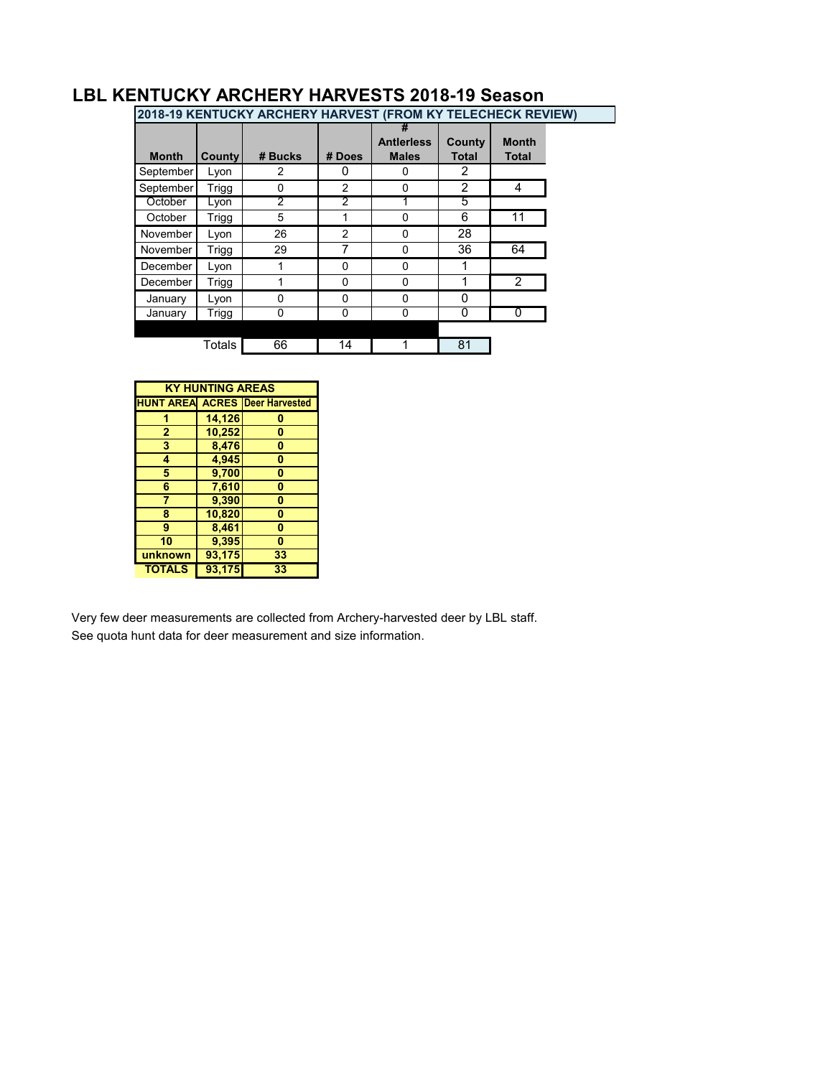| 2018-19 KENTUCKY ARCHERY HARVEST (FROM KY TELECHECK REVIEW) |        |         |                |                                   |                        |                              |  |
|-------------------------------------------------------------|--------|---------|----------------|-----------------------------------|------------------------|------------------------------|--|
| <b>Month</b>                                                | County | # Bucks | # Does         | <b>Antierless</b><br><b>Males</b> | County<br><b>Total</b> | <b>Month</b><br><b>Total</b> |  |
| September                                                   | Lyon   | 2       | 0              | 0                                 | 2                      |                              |  |
| September                                                   | Trigg  | 0       | 2              | 0                                 | 2                      | 4                            |  |
| October                                                     | Lyon   | 2       | 2              |                                   | 5                      |                              |  |
| October                                                     | Trigg  | 5       | 1              | 0                                 | 6                      | 11                           |  |
| November                                                    | Lyon   | 26      | $\overline{2}$ | 0                                 | 28                     |                              |  |
| November                                                    | Trigg  | 29      |                | 0                                 | 36                     | 64                           |  |
| December                                                    | Lyon   |         | 0              | 0                                 |                        |                              |  |
| December                                                    | Trigg  |         | 0              | 0                                 |                        | $\overline{2}$               |  |
| January                                                     | Lyon   | ი       | 0              | 0                                 | 0                      |                              |  |
| January                                                     | Trigg  | 0       | 0              | 0                                 | 0                      | 0                            |  |
|                                                             |        |         |                |                                   |                        |                              |  |
|                                                             | Totals | 66      | 14             |                                   | 81                     |                              |  |

## **LBL KENTUCKY ARCHERY HARVESTS 2018-19 Season**

|                | υU                      |                                       |
|----------------|-------------------------|---------------------------------------|
|                |                         |                                       |
|                | <b>KY HUNTING AREAS</b> |                                       |
|                |                         | <b>HUNT AREA ACRES Deer Harvested</b> |
|                | 14,126                  | 0                                     |
| $\overline{2}$ | 10,252                  | 0                                     |
| 3              | 8,476                   | $\bf{0}$                              |
| 4              | 4,945                   | 0                                     |
| 5              | 9,700                   | 0                                     |
| 6              | 7,610                   | $\bf{0}$                              |
| 7              | 9,390                   | 0                                     |
| 8              | 10,820                  | $\bf{0}$                              |
| 9              | 8,461                   | 0                                     |
| 10             | 9,395                   | 0                                     |
| unknown        | 93,175                  | 33                                    |
| <b>TOTALS</b>  | 93,175                  | 33                                    |

Very few deer measurements are collected from Archery-harvested deer by LBL staff. See quota hunt data for deer measurement and size information.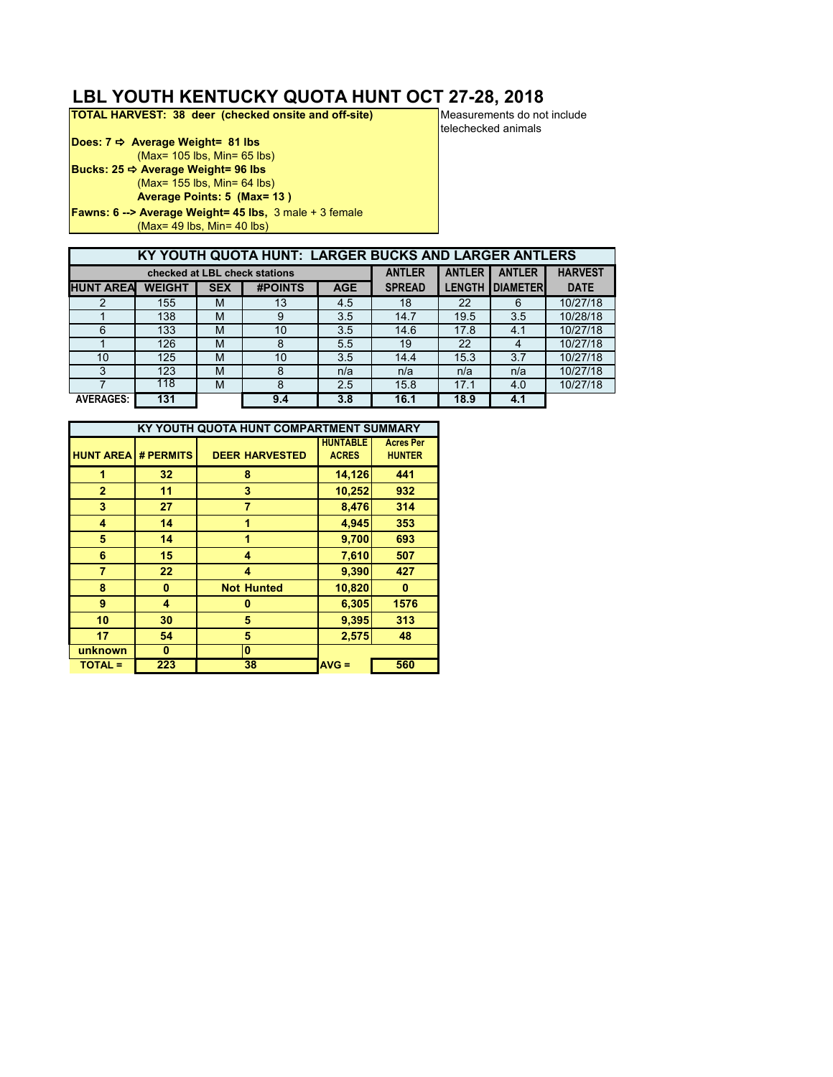# **LBL YOUTH KENTUCKY QUOTA HUNT OCT 27-28, 2018**<br>**TOTAL HARVEST: 38 deer (checked onsite and off-site)** Measurements do not include

**TOTAL HARVEST: 38 deer (checked onsite and off-site)** 

**Does: 7 → Average Weight= 81 lbs** (Max= 105 lbs, Min= 65 lbs) **Bucks: 25 → Average Weight= 96 lbs** (Max= 155 lbs, Min= 64 lbs) **Average Points: 5 (Max= 13 ) Fawns: 6 --> Average Weight= 45 lbs,** 3 male + 3 female (Max= 49 lbs, Min= 40 lbs)

telechecked animals

|                  |               |            | KY YOUTH QUOTA HUNT: LARGER BUCKS AND LARGER ANTLERS |            |               |               |                  |                |
|------------------|---------------|------------|------------------------------------------------------|------------|---------------|---------------|------------------|----------------|
|                  |               |            | checked at LBL check stations                        |            | <b>ANTLER</b> | <b>ANTLER</b> | <b>ANTLER</b>    | <b>HARVEST</b> |
| <b>HUNT AREA</b> | <b>WEIGHT</b> | <b>SEX</b> | <b>#POINTS</b>                                       | <b>AGE</b> | <b>SPREAD</b> | <b>LENGTH</b> | <b>IDIAMETER</b> | <b>DATE</b>    |
| 2                | 155           | M          | 13                                                   | 4.5        | 18            | 22            | 6                | 10/27/18       |
|                  | 138           | M          | 9                                                    | 3.5        | 14.7          | 19.5          | 3.5              | 10/28/18       |
| 6                | 133           | M          | 10                                                   | 3.5        | 14.6          | 17.8          | 4.1              | 10/27/18       |
|                  | 126           | M          | 8                                                    | 5.5        | 19            | 22            | 4                | 10/27/18       |
| 10               | 125           | M          | 10                                                   | 3.5        | 14.4          | 15.3          | 3.7              | 10/27/18       |
| 3                | 123           | M          | 8                                                    | n/a        | n/a           | n/a           | n/a              | 10/27/18       |
|                  | 118           | M          | 8                                                    | 2.5        | 15.8          | 17.1          | 4.0              | 10/27/18       |
| <b>AVERAGES:</b> | 131           |            | 9.4                                                  | 3.8        | 16.1          | 18.9          | 4.1              |                |

|                  |                 | KY YOUTH QUOTA HUNT COMPARTMENT SUMMARY |                 |                  |
|------------------|-----------------|-----------------------------------------|-----------------|------------------|
|                  |                 |                                         | <b>HUNTABLE</b> | <b>Acres Per</b> |
| <b>HUNT AREA</b> | # PERMITS       | <b>DEER HARVESTED</b>                   | <b>ACRES</b>    | <b>HUNTER</b>    |
| 1                | 32 <sub>2</sub> | 8                                       | 14,126          | 441              |
| $\overline{2}$   | 11              | 3                                       | 10,252          | 932              |
| 3                | 27              | 7                                       | 8,476           | 314              |
| 4                | 14              | 1                                       | 4,945           | 353              |
| 5                | 14              | 1                                       | 9,700           | 693              |
| 6                | 15              | 4                                       | 7,610           | 507              |
| 7                | 22              | 4                                       | 9,390           | 427              |
| 8                | $\bf{0}$        | <b>Not Hunted</b>                       | 10,820          | 0                |
| 9                | 4               | 0                                       | 6,305           | 1576             |
| 10               | 30              | 5                                       | 9,395           | 313              |
| 17               | 54              | 5                                       | 2,575           | 48               |
| unknown          | 0               | 0                                       |                 |                  |
| <b>TOTAL =</b>   | 223             | 38                                      | $AVG =$         | 560              |